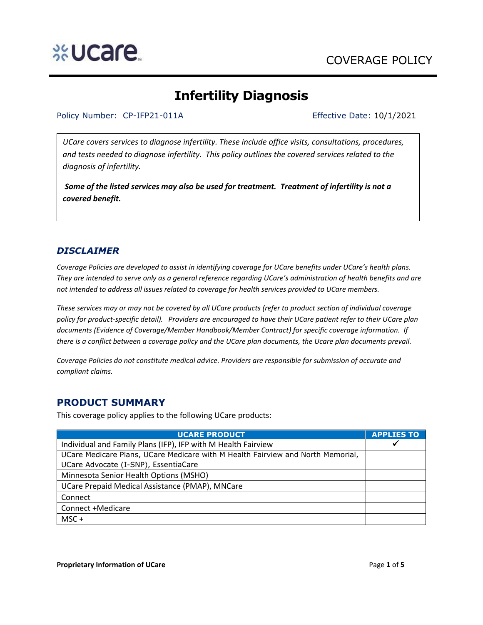# **Infertility Diagnosis**

#### Policy Number: CP-IFP21-011A Effective Date: 10/1/2021

*UCare covers services to diagnose infertility. These include office visits, consultations, procedures, and tests needed to diagnose infertility. This policy outlines the covered services related to the diagnosis of infertility.* 

*Some of the listed services may also be used for treatment. Treatment of infertility is not a covered benefit.* 

### *DISCLAIMER*

*Coverage Policies are developed to assist in identifying coverage for UCare benefits under UCare's health plans. They are intended to serve only as a general reference regarding UCare's administration of health benefits and are not intended to address all issues related to coverage for health services provided to UCare members.*

*These services may or may not be covered by all UCare products (refer to product section of individual coverage policy for product-specific detail). Providers are encouraged to have their UCare patient refer to their UCare plan documents (Evidence of Coverage/Member Handbook/Member Contract) for specific coverage information. If there is a conflict between a coverage policy and the UCare plan documents, the Ucare plan documents prevail.*

*Coverage Policies do not constitute medical advice. Providers are responsible for submission of accurate and compliant claims.* 

### **PRODUCT SUMMARY**

This coverage policy applies to the following UCare products:

| <b>UCARE PRODUCT</b>                                                            | <b>APPLIES TO</b> |
|---------------------------------------------------------------------------------|-------------------|
| Individual and Family Plans (IFP), IFP with M Health Fairview                   | ✔                 |
| UCare Medicare Plans, UCare Medicare with M Health Fairview and North Memorial, |                   |
| UCare Advocate (I-SNP), EssentiaCare                                            |                   |
| Minnesota Senior Health Options (MSHO)                                          |                   |
| UCare Prepaid Medical Assistance (PMAP), MNCare                                 |                   |
| Connect                                                                         |                   |
| Connect +Medicare                                                               |                   |
| $MSC +$                                                                         |                   |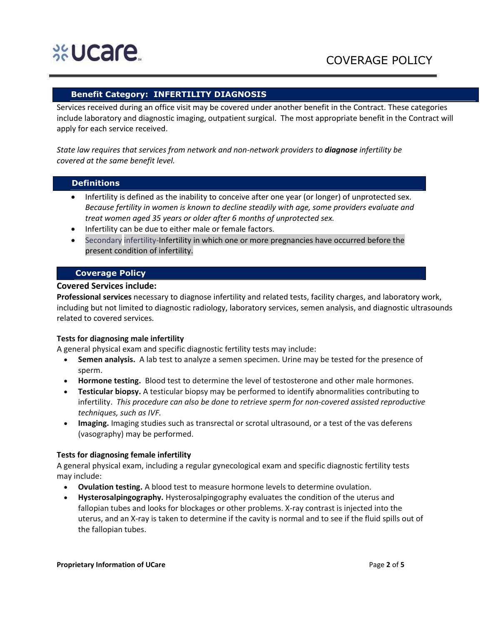# **%Ucare**

#### **Benefit Category: INFERTILITY DIAGNOSIS**

Services received during an office visit may be covered under another benefit in the Contract. These categories include laboratory and diagnostic imaging, outpatient surgical. The most appropriate benefit in the Contract will apply for each service received.

*State law requires that services from network and non-network providers to diagnose infertility be covered at the same benefit level.*

#### **Definitions**

- Infertility is defined as the inability to conceive after one year (or longer) of unprotected sex. *Because fertility in women is known to decline steadily with age, some providers evaluate and treat women aged 35 years or older after 6 months of unprotected sex.*
- Infertility can be due to either male or female factors.
- Secondary infertility-Infertility in which one or more pregnancies have occurred before the present condition of infertility.

#### **Coverage Policy**

#### **Covered Services include:**

**Professional services** necessary to diagnose infertility and related tests, facility charges, and laboratory work, including but not limited to diagnostic radiology, laboratory services, semen analysis, and diagnostic ultrasounds related to covered services.

#### **Tests for diagnosing male infertility**

A general physical exam and specific diagnostic fertility tests may include:

- **Semen analysis.** A lab test to analyze a semen specimen. Urine may be tested for the presence of sperm.
- **Hormone testing.** Blood test to determine the level of testosterone and other male hormones.
- **Testicular biopsy.** A testicular biopsy may be performed to identify abnormalities contributing to infertility. *This procedure can also be done to retrieve sperm for non-covered assisted reproductive techniques, such as IVF.*
- **Imaging.** Imaging studies such as transrectal or scrotal ultrasound, or a test of the vas deferens (vasography) may be performed.

#### **Tests for diagnosing female infertility**

A general physical exam, including a regular gynecological exam and specific diagnostic fertility tests may include:

- **Ovulation testing.** A blood test to measure hormone levels to determine ovulation.
- **Hysterosalpingography.** Hysterosalpingography evaluates the condition of the uterus and fallopian tubes and looks for blockages or other problems. X-ray contrast is injected into the uterus, and an X-ray is taken to determine if the cavity is normal and to see if the fluid spills out of the fallopian tubes.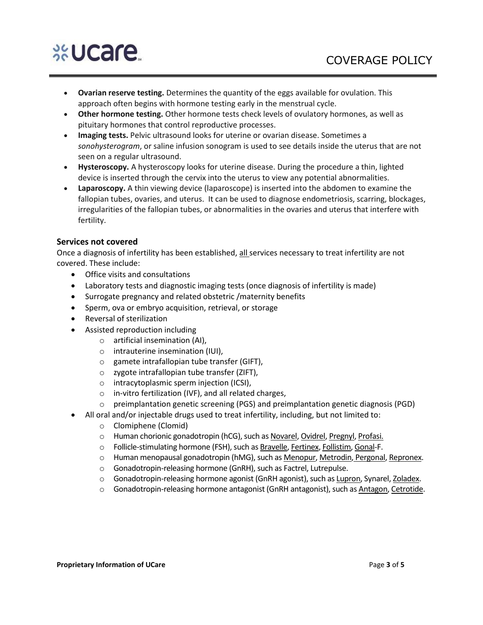# %Ucare

- **Ovarian reserve testing.** Determines the quantity of the eggs available for ovulation. This approach often begins with hormone testing early in the menstrual cycle.
- **Other hormone testing.** Other hormone tests check levels of ovulatory hormones, as well as pituitary hormones that control reproductive processes.
- **Imaging tests.** Pelvic ultrasound looks for uterine or ovarian disease. Sometimes a *sonohysterogram*, or saline infusion sonogram is used to see details inside the uterus that are not seen on a regular ultrasound.
- **Hysteroscopy.** A hysteroscopy looks for uterine disease. During the procedure a thin, lighted device is inserted through the cervix into the uterus to view any potential abnormalities.
- **Laparoscopy.** A thin viewing device (laparoscope) is inserted into the abdomen to examine the fallopian tubes, ovaries, and uterus. It can be used to diagnose endometriosis, scarring, blockages, irregularities of the fallopian tubes, or abnormalities in the ovaries and uterus that interfere with fertility.

#### **Services not covered**

Once a diagnosis of infertility has been established, all services necessary to treat infertility are not covered. These include:

- Office visits and consultations
- Laboratory tests and diagnostic imaging tests (once diagnosis of infertility is made)
- Surrogate pregnancy and related obstetric /maternity benefits
- Sperm, ova or embryo acquisition, retrieval, or storage
- Reversal of sterilization
- Assisted reproduction including
	- o artificial insemination (AI),
	- o intrauterine insemination (IUI),
	- o gamete intrafallopian tube transfer (GIFT),
	- o zygote intrafallopian tube transfer (ZIFT),
	- o intracytoplasmic sperm injection (ICSI),
	- o in-vitro fertilization (IVF), and all related charges,
	- $\circ$  preimplantation genetic screening (PGS) and preimplantation genetic diagnosis (PGD)
	- All oral and/or injectable drugs used to treat infertility, including, but not limited to:
		- o Clomiphene (Clomid)
		- o [Human chorionic gonadotropin](https://www.webmd.com/baby/human-chorionic-gonadotropin-hcg) (hCG), such as [Novarel,](https://www.webmd.com/drugs/2/drug-16743/novarel-intramuscular/details) [Ovidrel,](https://www.webmd.com/drugs/2/drug-20307-503/ovidrel-subcutaneous/choriogonadotropin-alfa-injection-prefilled-syringe-pen/details) [Pregnyl,](https://www.webmd.com/drugs/2/drug-6990/pregnyl+intramuscular/details) [Profasi.](https://www.webmd.com/drugs/2/drug-19934/profasi+intramuscular/details)
		- o Follicle-stimulating hormone (FSH), such as [Bravelle,](https://www.webmd.com/drugs/2/drug-63215/bravelle+injection/details) [Fertinex,](https://www.webmd.com/drugs/2/drug-1479/fertinex-subcutaneous/details) [Follistim,](https://www.webmd.com/drugs/2/drug-4727/follistim+injection/details) [Gonal-](https://www.webmd.com/drugs/2/drug-91245/gonal-f+rff+pen+subcutaneous/details)F.
		- o Human menopausal gonadotropin (hMG), such as [Menopur,](https://www.webmd.com/drugs/2/drug-92878/menopur-subcutaneous/details) [Metrodin,](https://www.webmd.com/drugs/2/drug-75344/metrodin-intramuscular/details) [Pergonal,](https://www.webmd.com/drugs/2/drug-6975/pergonal-intramuscular/details) [Repronex.](https://www.webmd.com/drugs/2/drug-17977/repronex+injection/details)
		- o Gonadotropin-releasing hormone (GnRH), such as Factrel, Lutrepulse.
		- o Gonadotropin-releasing hormone agonist (GnRH agonist), such as [Lupron,](https://www.webmd.com/drugs/2/drug-6888/lupron+subcutaneous/details) Synarel[, Zoladex.](https://www.webmd.com/drugs/2/drug-7103/zoladex+subcutaneous/details)
		- o Gonadotropin-releasing hormone antagonist (GnRH antagonist), such as [Antagon,](https://www.webmd.com/drugs/2/drug-75173/antagon+subcutaneous/details) [Cetrotide.](https://www.webmd.com/drugs/2/drug-20403/cetrotide+subcutaneous/details)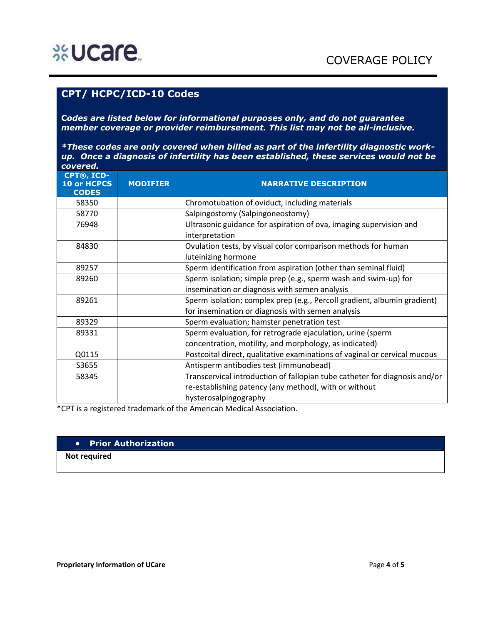## **CPT/ HCPC/ICD-10 Codes**

**C***odes are listed below for informational purposes only, and do not guarantee member coverage or provider reimbursement. This list may not be all-inclusive.* 

*\*These codes are only covered when billed as part of the infertility diagnostic workup. Once a diagnosis of infertility has been established, these services would not be covered.*

| CPT®, ICD-<br>10 or HCPCS<br><b>CODES</b> | <b>MODIFIER</b> | <b>NARRATIVE DESCRIPTION</b>                                                         |
|-------------------------------------------|-----------------|--------------------------------------------------------------------------------------|
| 58350                                     |                 | Chromotubation of oviduct, including materials                                       |
| 58770                                     |                 | Salpingostomy (Salpingoneostomy)                                                     |
| 76948                                     |                 | Ultrasonic guidance for aspiration of ova, imaging supervision and<br>interpretation |
| 84830                                     |                 | Ovulation tests, by visual color comparison methods for human<br>luteinizing hormone |
| 89257                                     |                 | Sperm identification from aspiration (other than seminal fluid)                      |
| 89260                                     |                 | Sperm isolation; simple prep (e.g., sperm wash and swim-up) for                      |
|                                           |                 | insemination or diagnosis with semen analysis                                        |
| 89261                                     |                 | Sperm isolation; complex prep (e.g., Percoll gradient, albumin gradient)             |
|                                           |                 | for insemination or diagnosis with semen analysis                                    |
| 89329                                     |                 | Sperm evaluation; hamster penetration test                                           |
| 89331                                     |                 | Sperm evaluation, for retrograde ejaculation, urine (sperm                           |
|                                           |                 | concentration, motility, and morphology, as indicated)                               |
| Q0115                                     |                 | Postcoital direct, qualitative examinations of vaginal or cervical mucous            |
| S3655                                     |                 | Antisperm antibodies test (immunobead)                                               |
| 58345                                     |                 | Transcervical introduction of fallopian tube catheter for diagnosis and/or           |
|                                           |                 | re-establishing patency (any method), with or without                                |
|                                           |                 | hysterosalpingography                                                                |

\*CPT is a registered trademark of the American Medical Association.

#### • **Prior Authorization**

 **Not required**